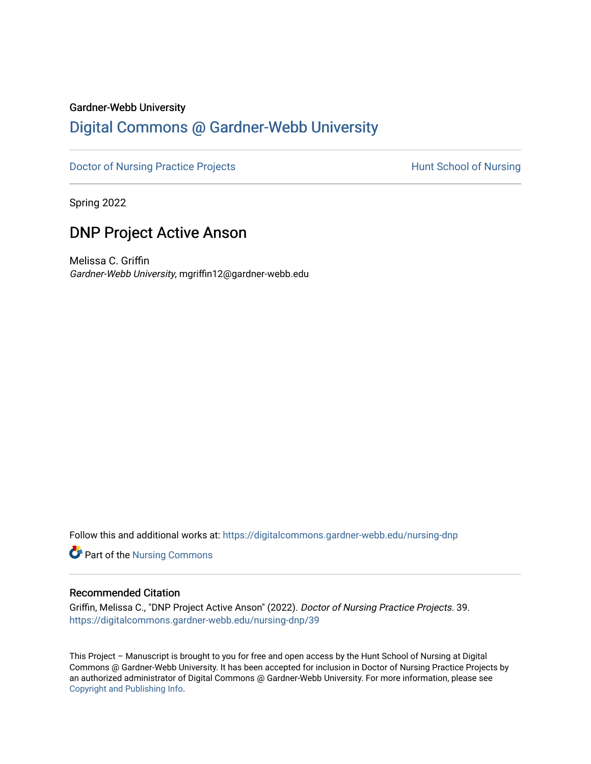#### Gardner-Webb University

## [Digital Commons @ Gardner-Webb University](https://digitalcommons.gardner-webb.edu/)

[Doctor of Nursing Practice Projects](https://digitalcommons.gardner-webb.edu/nursing-dnp) **Hunt School of Nursing** 

Spring 2022

## DNP Project Active Anson

Melissa C. Griffin Gardner-Webb University, mgriffin12@gardner-webb.edu

Follow this and additional works at: [https://digitalcommons.gardner-webb.edu/nursing-dnp](https://digitalcommons.gardner-webb.edu/nursing-dnp?utm_source=digitalcommons.gardner-webb.edu%2Fnursing-dnp%2F39&utm_medium=PDF&utm_campaign=PDFCoverPages) 

**Part of the Nursing Commons** 

#### Recommended Citation

Griffin, Melissa C., "DNP Project Active Anson" (2022). Doctor of Nursing Practice Projects. 39. [https://digitalcommons.gardner-webb.edu/nursing-dnp/39](https://digitalcommons.gardner-webb.edu/nursing-dnp/39?utm_source=digitalcommons.gardner-webb.edu%2Fnursing-dnp%2F39&utm_medium=PDF&utm_campaign=PDFCoverPages)

This Project – Manuscript is brought to you for free and open access by the Hunt School of Nursing at Digital Commons @ Gardner-Webb University. It has been accepted for inclusion in Doctor of Nursing Practice Projects by an authorized administrator of Digital Commons @ Gardner-Webb University. For more information, please see [Copyright and Publishing Info.](https://digitalcommons.gardner-webb.edu/copyright_publishing.html)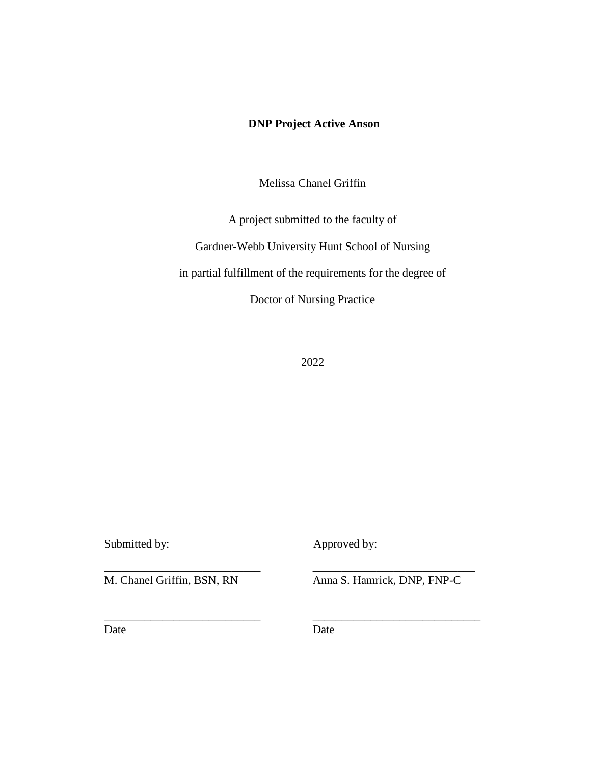### **DNP Project Active Anson**

Melissa Chanel Griffin

A project submitted to the faculty of

Gardner-Webb University Hunt School of Nursing

in partial fulfillment of the requirements for the degree of

Doctor of Nursing Practice

2022

Submitted by: Approved by:

M. Chanel Griffin, BSN, RN Anna S. Hamrick, DNP, FNP-C

Date Date Date

\_\_\_\_\_\_\_\_\_\_\_\_\_\_\_\_\_\_\_\_\_\_\_\_\_\_\_ \_\_\_\_\_\_\_\_\_\_\_\_\_\_\_\_\_\_\_\_\_\_\_\_\_\_\_\_

\_\_\_\_\_\_\_\_\_\_\_\_\_\_\_\_\_\_\_\_\_\_\_\_\_\_\_ \_\_\_\_\_\_\_\_\_\_\_\_\_\_\_\_\_\_\_\_\_\_\_\_\_\_\_\_\_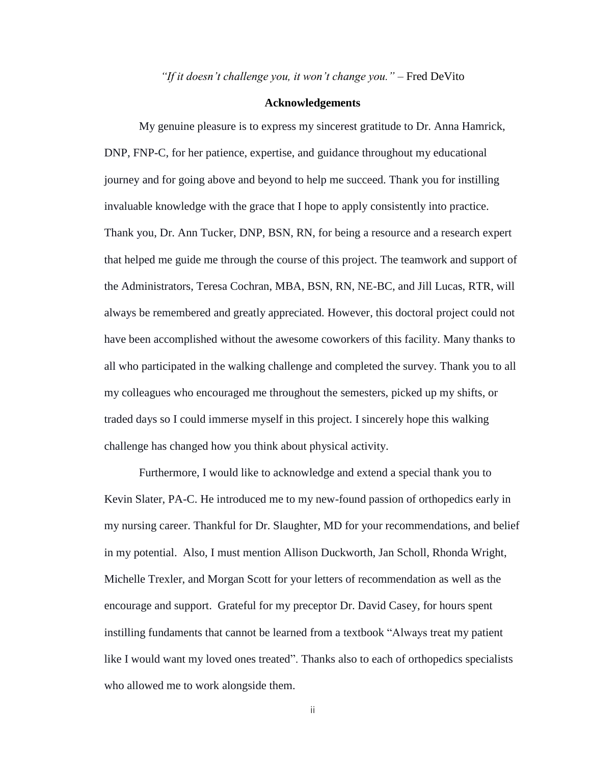*"If it doesn't challenge you, it won't change you."* – Fred DeVito

#### **Acknowledgements**

My genuine pleasure is to express my sincerest gratitude to Dr. Anna Hamrick, DNP, FNP-C, for her patience, expertise, and guidance throughout my educational journey and for going above and beyond to help me succeed. Thank you for instilling invaluable knowledge with the grace that I hope to apply consistently into practice. Thank you, Dr. Ann Tucker, DNP, BSN, RN, for being a resource and a research expert that helped me guide me through the course of this project. The teamwork and support of the Administrators, Teresa Cochran, MBA, BSN, RN, NE-BC, and Jill Lucas, RTR, will always be remembered and greatly appreciated. However, this doctoral project could not have been accomplished without the awesome coworkers of this facility. Many thanks to all who participated in the walking challenge and completed the survey. Thank you to all my colleagues who encouraged me throughout the semesters, picked up my shifts, or traded days so I could immerse myself in this project. I sincerely hope this walking challenge has changed how you think about physical activity.

Furthermore, I would like to acknowledge and extend a special thank you to Kevin Slater, PA-C. He introduced me to my new-found passion of orthopedics early in my nursing career. Thankful for Dr. Slaughter, MD for your recommendations, and belief in my potential. Also, I must mention Allison Duckworth, Jan Scholl, Rhonda Wright, Michelle Trexler, and Morgan Scott for your letters of recommendation as well as the encourage and support. Grateful for my preceptor Dr. David Casey, for hours spent instilling fundaments that cannot be learned from a textbook "Always treat my patient like I would want my loved ones treated". Thanks also to each of orthopedics specialists who allowed me to work alongside them.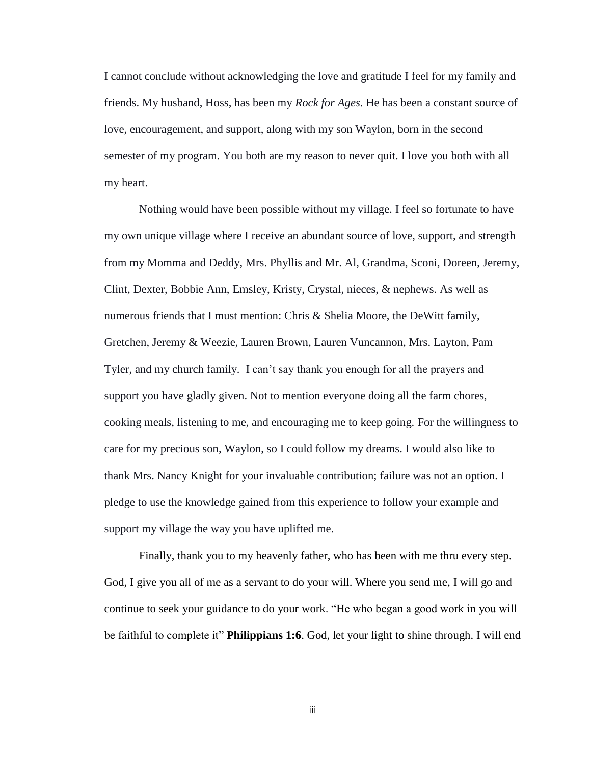I cannot conclude without acknowledging the love and gratitude I feel for my family and friends. My husband, Hoss, has been my *Rock for Ages*. He has been a constant source of love, encouragement, and support, along with my son Waylon, born in the second semester of my program. You both are my reason to never quit. I love you both with all my heart.

Nothing would have been possible without my village. I feel so fortunate to have my own unique village where I receive an abundant source of love, support, and strength from my Momma and Deddy, Mrs. Phyllis and Mr. Al, Grandma, Sconi, Doreen, Jeremy, Clint, Dexter, Bobbie Ann, Emsley, Kristy, Crystal, nieces, & nephews. As well as numerous friends that I must mention: Chris & Shelia Moore, the DeWitt family, Gretchen, Jeremy & Weezie, Lauren Brown, Lauren Vuncannon, Mrs. Layton, Pam Tyler, and my church family. I can't say thank you enough for all the prayers and support you have gladly given. Not to mention everyone doing all the farm chores, cooking meals, listening to me, and encouraging me to keep going. For the willingness to care for my precious son, Waylon, so I could follow my dreams. I would also like to thank Mrs. Nancy Knight for your invaluable contribution; failure was not an option. I pledge to use the knowledge gained from this experience to follow your example and support my village the way you have uplifted me.

Finally, thank you to my heavenly father, who has been with me thru every step. God, I give you all of me as a servant to do your will. Where you send me, I will go and continue to seek your guidance to do your work. "He who began a good work in you will be faithful to complete it" **Philippians 1:6**. God, let your light to shine through. I will end

iii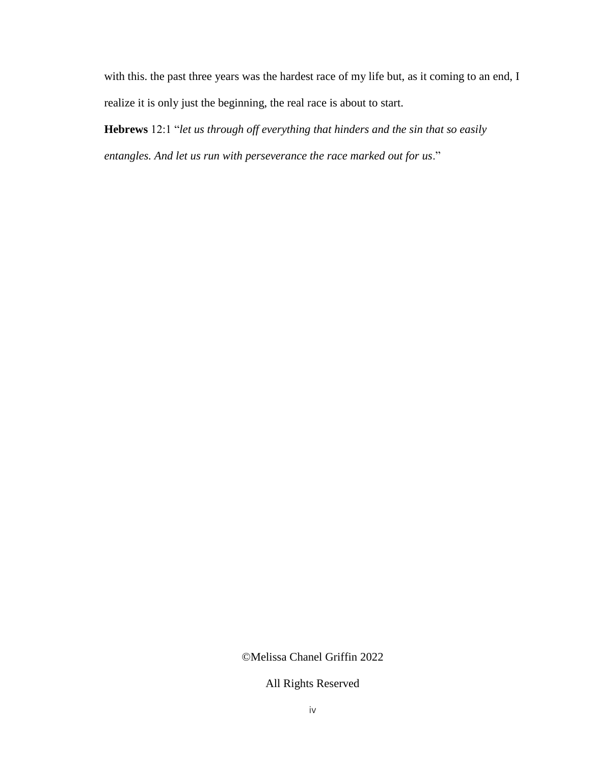with this. the past three years was the hardest race of my life but, as it coming to an end, I realize it is only just the beginning, the real race is about to start.

**Hebrews** 12:1 "*let us through off everything that hinders and the sin that so easily entangles. And let us run with perseverance the race marked out for us*."

©Melissa Chanel Griffin 2022

All Rights Reserved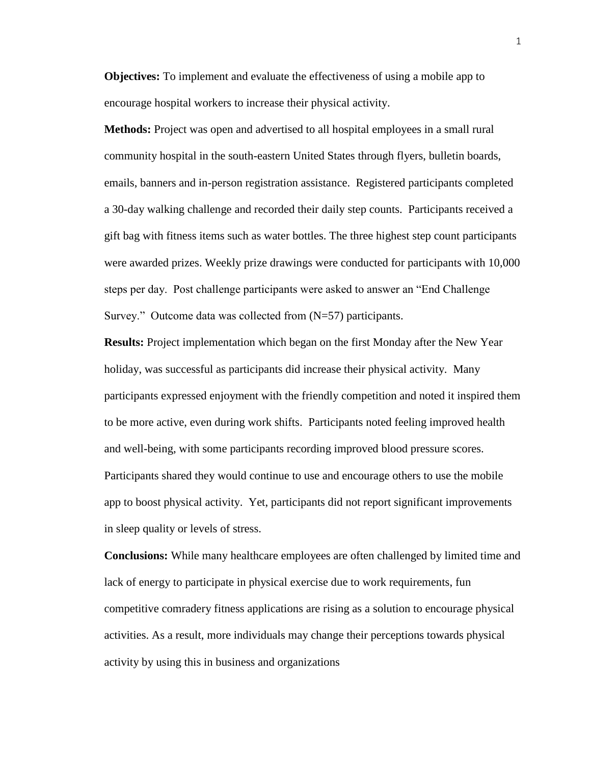**Objectives:** To implement and evaluate the effectiveness of using a mobile app to encourage hospital workers to increase their physical activity.

**Methods:** Project was open and advertised to all hospital employees in a small rural community hospital in the south-eastern United States through flyers, bulletin boards, emails, banners and in-person registration assistance. Registered participants completed a 30-day walking challenge and recorded their daily step counts. Participants received a gift bag with fitness items such as water bottles. The three highest step count participants were awarded prizes. Weekly prize drawings were conducted for participants with 10,000 steps per day. Post challenge participants were asked to answer an "End Challenge Survey." Outcome data was collected from (N=57) participants.

**Results:** Project implementation which began on the first Monday after the New Year holiday, was successful as participants did increase their physical activity. Many participants expressed enjoyment with the friendly competition and noted it inspired them to be more active, even during work shifts. Participants noted feeling improved health and well-being, with some participants recording improved blood pressure scores. Participants shared they would continue to use and encourage others to use the mobile app to boost physical activity. Yet, participants did not report significant improvements in sleep quality or levels of stress.

**Conclusions:** While many healthcare employees are often challenged by limited time and lack of energy to participate in physical exercise due to work requirements, fun competitive comradery fitness applications are rising as a solution to encourage physical activities. As a result, more individuals may change their perceptions towards physical activity by using this in business and organizations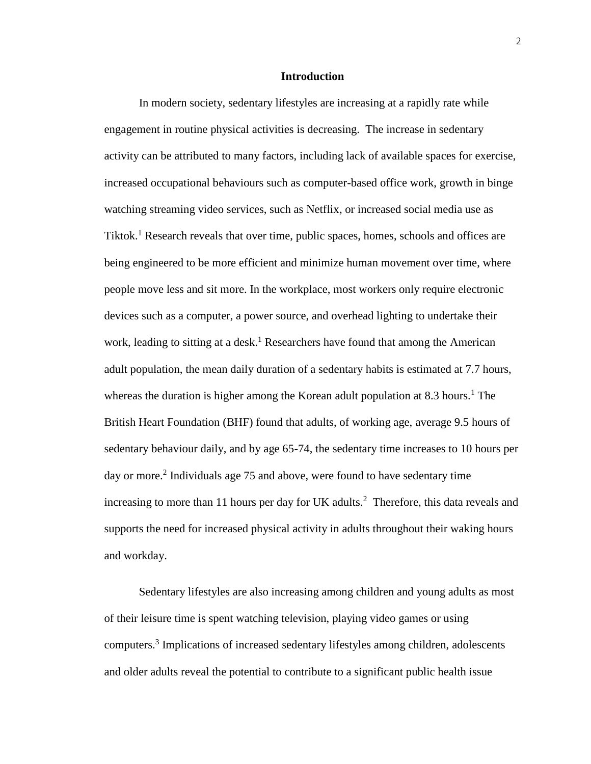#### **Introduction**

In modern society, sedentary lifestyles are increasing at a rapidly rate while engagement in routine physical activities is decreasing. The increase in sedentary activity can be attributed to many factors, including lack of available spaces for exercise, increased occupational behaviours such as computer-based office work, growth in binge watching streaming video services, such as Netflix, or increased social media use as Tiktok.<sup>1</sup> Research reveals that over time, public spaces, homes, schools and offices are being engineered to be more efficient and minimize human movement over time, where people move less and sit more. In the workplace, most workers only require electronic devices such as a computer, a power source, and overhead lighting to undertake their work, leading to sitting at a desk.<sup>1</sup> Researchers have found that among the American adult population, the mean daily duration of a sedentary habits is estimated at 7.7 hours, whereas the duration is higher among the Korean adult population at 8.3 hours.<sup>1</sup> The British Heart Foundation (BHF) found that adults, of working age, average 9.5 hours of sedentary behaviour daily, and by age 65-74, the sedentary time increases to 10 hours per day or more.<sup>2</sup> Individuals age 75 and above, were found to have sedentary time increasing to more than 11 hours per day for UK adults.<sup>2</sup> Therefore, this data reveals and supports the need for increased physical activity in adults throughout their waking hours and workday.

Sedentary lifestyles are also increasing among children and young adults as most of their leisure time is spent watching television, playing video games or using computers.<sup>3</sup> Implications of increased sedentary lifestyles among children, adolescents and older adults reveal the potential to contribute to a significant public health issue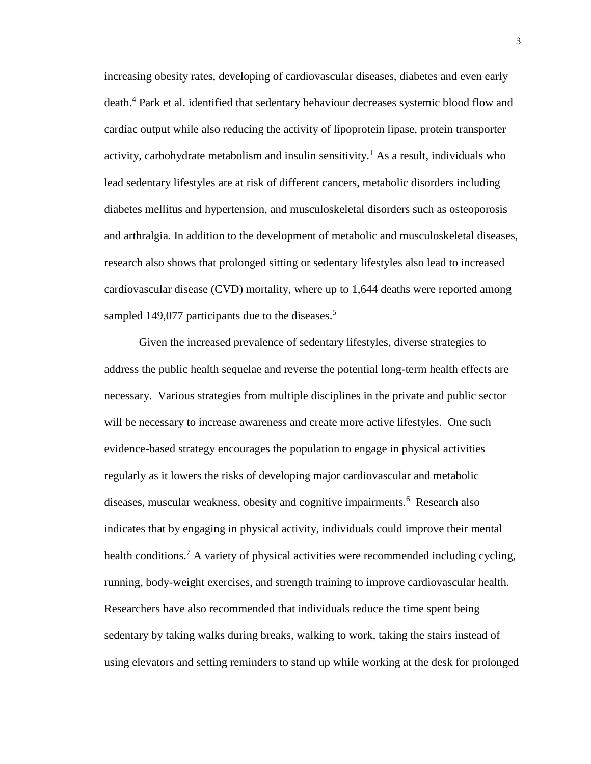increasing obesity rates, developing of cardiovascular diseases, diabetes and even early death.<sup>4</sup> Park et al. identified that sedentary behaviour decreases systemic blood flow and cardiac output while also reducing the activity of lipoprotein lipase, protein transporter activity, carbohydrate metabolism and insulin sensitivity.<sup>1</sup> As a result, individuals who lead sedentary lifestyles are at risk of different cancers, metabolic disorders including diabetes mellitus and hypertension, and musculoskeletal disorders such as osteoporosis and arthralgia. In addition to the development of metabolic and musculoskeletal diseases, research also shows that prolonged sitting or sedentary lifestyles also lead to increased cardiovascular disease (CVD) mortality, where up to 1,644 deaths were reported among sampled 149,077 participants due to the diseases.<sup>5</sup>

Given the increased prevalence of sedentary lifestyles, diverse strategies to address the public health sequelae and reverse the potential long-term health effects are necessary. Various strategies from multiple disciplines in the private and public sector will be necessary to increase awareness and create more active lifestyles. One such evidence-based strategy encourages the population to engage in physical activities regularly as it lowers the risks of developing major cardiovascular and metabolic diseases, muscular weakness, obesity and cognitive impairments.<sup>6</sup> Research also indicates that by engaging in physical activity, individuals could improve their mental health conditions.<sup>7</sup> A variety of physical activities were recommended including cycling, running, body-weight exercises, and strength training to improve cardiovascular health. Researchers have also recommended that individuals reduce the time spent being sedentary by taking walks during breaks, walking to work, taking the stairs instead of using elevators and setting reminders to stand up while working at the desk for prolonged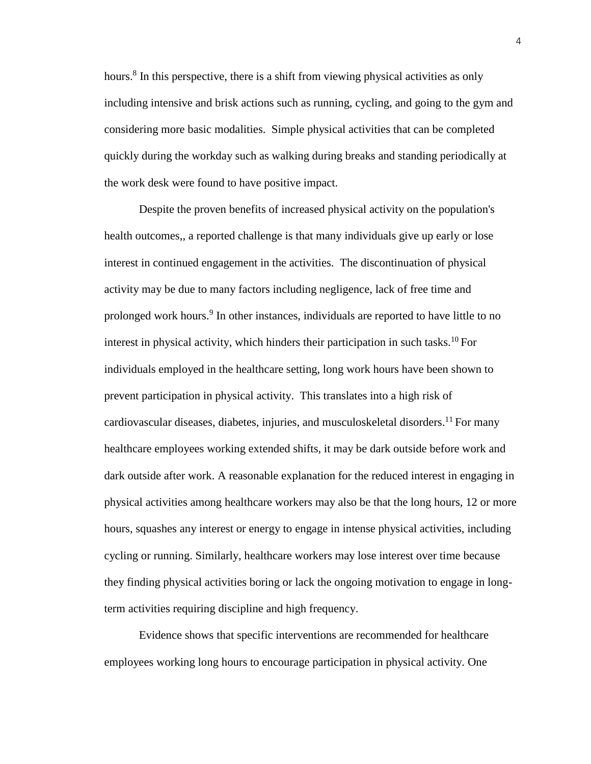hours.<sup>8</sup> In this perspective, there is a shift from viewing physical activities as only including intensive and brisk actions such as running, cycling, and going to the gym and considering more basic modalities. Simple physical activities that can be completed quickly during the workday such as walking during breaks and standing periodically at the work desk were found to have positive impact.

Despite the proven benefits of increased physical activity on the population's health outcomes,, a reported challenge is that many individuals give up early or lose interest in continued engagement in the activities. The discontinuation of physical activity may be due to many factors including negligence, lack of free time and prolonged work hours.<sup>9</sup> In other instances, individuals are reported to have little to no interest in physical activity, which hinders their participation in such tasks.<sup>10</sup>For individuals employed in the healthcare setting, long work hours have been shown to prevent participation in physical activity. This translates into a high risk of cardiovascular diseases, diabetes, injuries, and musculoskeletal disorders.<sup>11</sup> For many healthcare employees working extended shifts, it may be dark outside before work and dark outside after work. A reasonable explanation for the reduced interest in engaging in physical activities among healthcare workers may also be that the long hours, 12 or more hours, squashes any interest or energy to engage in intense physical activities, including cycling or running. Similarly, healthcare workers may lose interest over time because they finding physical activities boring or lack the ongoing motivation to engage in longterm activities requiring discipline and high frequency.

Evidence shows that specific interventions are recommended for healthcare employees working long hours to encourage participation in physical activity. One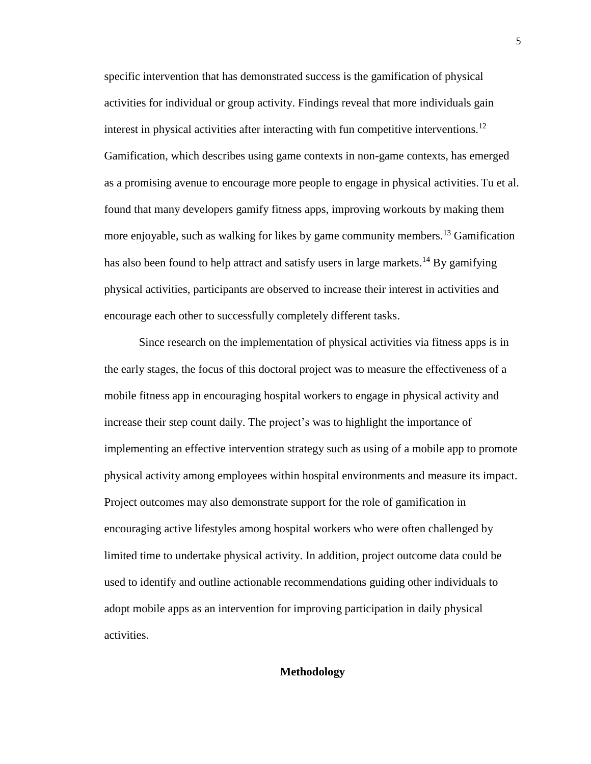specific intervention that has demonstrated success is the gamification of physical activities for individual or group activity. Findings reveal that more individuals gain interest in physical activities after interacting with fun competitive interventions.<sup>12</sup> Gamification, which describes using game contexts in non-game contexts, has emerged as a promising avenue to encourage more people to engage in physical activities. Tu et al. found that many developers gamify fitness apps, improving workouts by making them more enjoyable, such as walking for likes by game community members.<sup>13</sup> Gamification has also been found to help attract and satisfy users in large markets.<sup>14</sup> By gamifying physical activities, participants are observed to increase their interest in activities and encourage each other to successfully completely different tasks.

Since research on the implementation of physical activities via fitness apps is in the early stages, the focus of this doctoral project was to measure the effectiveness of a mobile fitness app in encouraging hospital workers to engage in physical activity and increase their step count daily. The project's was to highlight the importance of implementing an effective intervention strategy such as using of a mobile app to promote physical activity among employees within hospital environments and measure its impact. Project outcomes may also demonstrate support for the role of gamification in encouraging active lifestyles among hospital workers who were often challenged by limited time to undertake physical activity. In addition, project outcome data could be used to identify and outline actionable recommendations guiding other individuals to adopt mobile apps as an intervention for improving participation in daily physical activities.

#### **Methodology**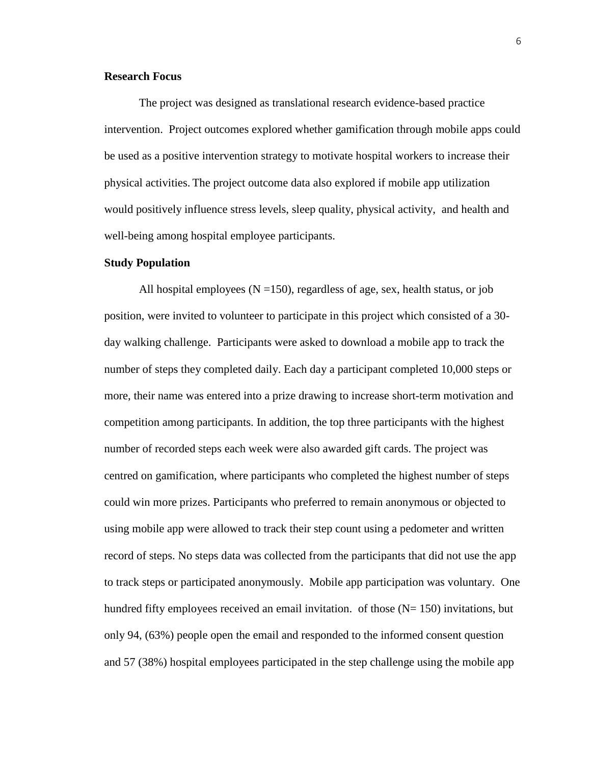#### **Research Focus**

The project was designed as translational research evidence-based practice intervention. Project outcomes explored whether gamification through mobile apps could be used as a positive intervention strategy to motivate hospital workers to increase their physical activities. The project outcome data also explored if mobile app utilization would positively influence stress levels, sleep quality, physical activity, and health and well-being among hospital employee participants.

#### **Study Population**

All hospital employees ( $N = 150$ ), regardless of age, sex, health status, or job position, were invited to volunteer to participate in this project which consisted of a 30 day walking challenge. Participants were asked to download a mobile app to track the number of steps they completed daily. Each day a participant completed 10,000 steps or more, their name was entered into a prize drawing to increase short-term motivation and competition among participants. In addition, the top three participants with the highest number of recorded steps each week were also awarded gift cards. The project was centred on gamification, where participants who completed the highest number of steps could win more prizes. Participants who preferred to remain anonymous or objected to using mobile app were allowed to track their step count using a pedometer and written record of steps. No steps data was collected from the participants that did not use the app to track steps or participated anonymously. Mobile app participation was voluntary. One hundred fifty employees received an email invitation. of those  $(N= 150)$  invitations, but only 94, (63%) people open the email and responded to the informed consent question and 57 (38%) hospital employees participated in the step challenge using the mobile app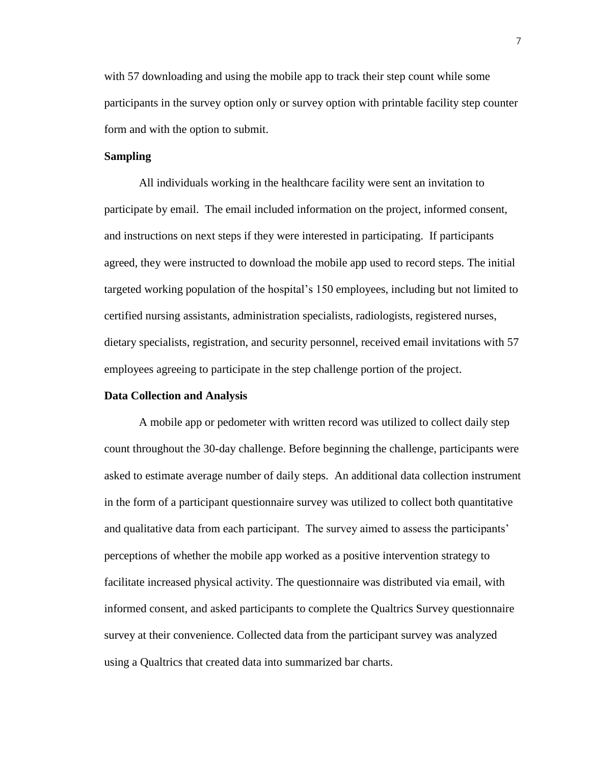with 57 downloading and using the mobile app to track their step count while some participants in the survey option only or survey option with printable facility step counter form and with the option to submit.

#### **Sampling**

All individuals working in the healthcare facility were sent an invitation to participate by email. The email included information on the project, informed consent, and instructions on next steps if they were interested in participating. If participants agreed, they were instructed to download the mobile app used to record steps. The initial targeted working population of the hospital's 150 employees, including but not limited to certified nursing assistants, administration specialists, radiologists, registered nurses, dietary specialists, registration, and security personnel, received email invitations with 57 employees agreeing to participate in the step challenge portion of the project.

#### **Data Collection and Analysis**

A mobile app or pedometer with written record was utilized to collect daily step count throughout the 30-day challenge. Before beginning the challenge, participants were asked to estimate average number of daily steps. An additional data collection instrument in the form of a participant questionnaire survey was utilized to collect both quantitative and qualitative data from each participant. The survey aimed to assess the participants' perceptions of whether the mobile app worked as a positive intervention strategy to facilitate increased physical activity. The questionnaire was distributed via email, with informed consent, and asked participants to complete the Qualtrics Survey questionnaire survey at their convenience. Collected data from the participant survey was analyzed using a Qualtrics that created data into summarized bar charts.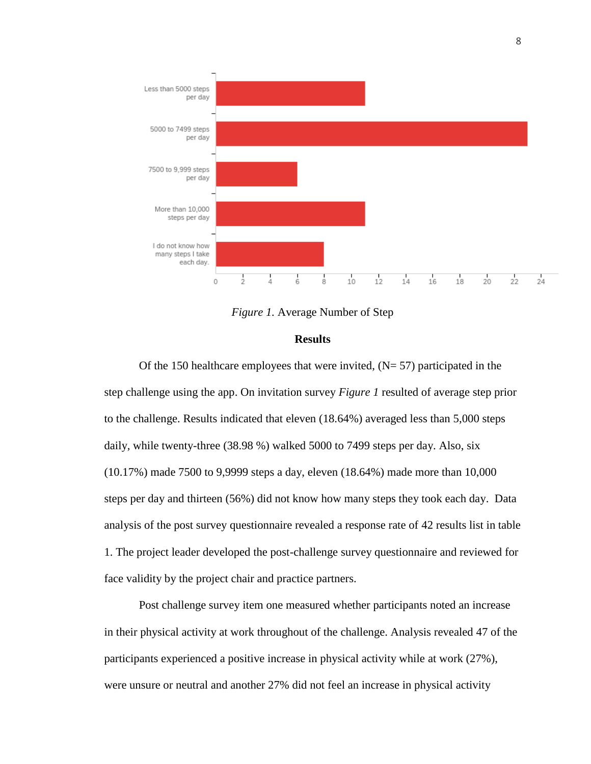

*Figure 1.* Average Number of Step

#### **Results**

Of the 150 healthcare employees that were invited,  $(N= 57)$  participated in the step challenge using the app. On invitation survey *Figure 1* resulted of average step prior to the challenge. Results indicated that eleven (18.64%) averaged less than 5,000 steps daily, while twenty-three (38.98 %) walked 5000 to 7499 steps per day. Also, six (10.17%) made 7500 to 9,9999 steps a day, eleven (18.64%) made more than 10,000 steps per day and thirteen (56%) did not know how many steps they took each day. Data analysis of the post survey questionnaire revealed a response rate of 42 results list in table 1. The project leader developed the post-challenge survey questionnaire and reviewed for face validity by the project chair and practice partners.

Post challenge survey item one measured whether participants noted an increase in their physical activity at work throughout of the challenge. Analysis revealed 47 of the participants experienced a positive increase in physical activity while at work (27%), were unsure or neutral and another 27% did not feel an increase in physical activity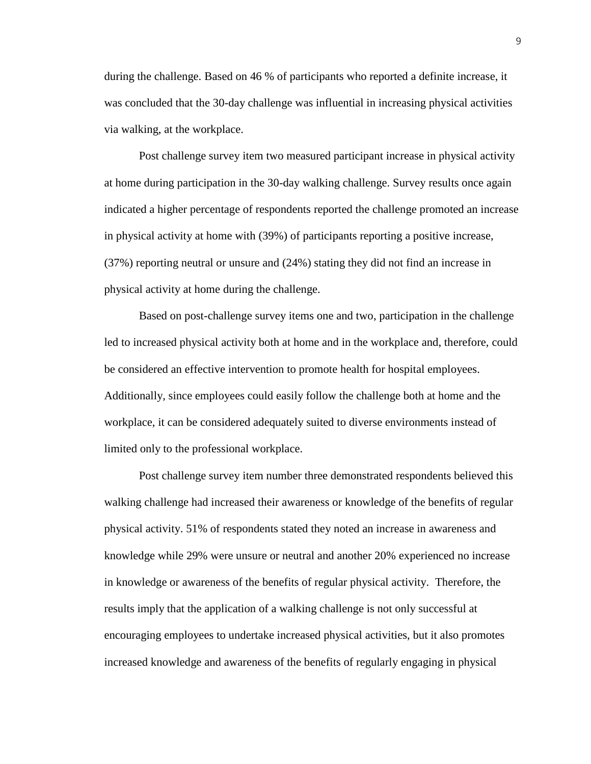during the challenge. Based on 46 % of participants who reported a definite increase, it was concluded that the 30-day challenge was influential in increasing physical activities via walking, at the workplace.

Post challenge survey item two measured participant increase in physical activity at home during participation in the 30-day walking challenge. Survey results once again indicated a higher percentage of respondents reported the challenge promoted an increase in physical activity at home with (39%) of participants reporting a positive increase, (37%) reporting neutral or unsure and (24%) stating they did not find an increase in physical activity at home during the challenge.

Based on post-challenge survey items one and two, participation in the challenge led to increased physical activity both at home and in the workplace and, therefore, could be considered an effective intervention to promote health for hospital employees. Additionally, since employees could easily follow the challenge both at home and the workplace, it can be considered adequately suited to diverse environments instead of limited only to the professional workplace.

Post challenge survey item number three demonstrated respondents believed this walking challenge had increased their awareness or knowledge of the benefits of regular physical activity. 51% of respondents stated they noted an increase in awareness and knowledge while 29% were unsure or neutral and another 20% experienced no increase in knowledge or awareness of the benefits of regular physical activity. Therefore, the results imply that the application of a walking challenge is not only successful at encouraging employees to undertake increased physical activities, but it also promotes increased knowledge and awareness of the benefits of regularly engaging in physical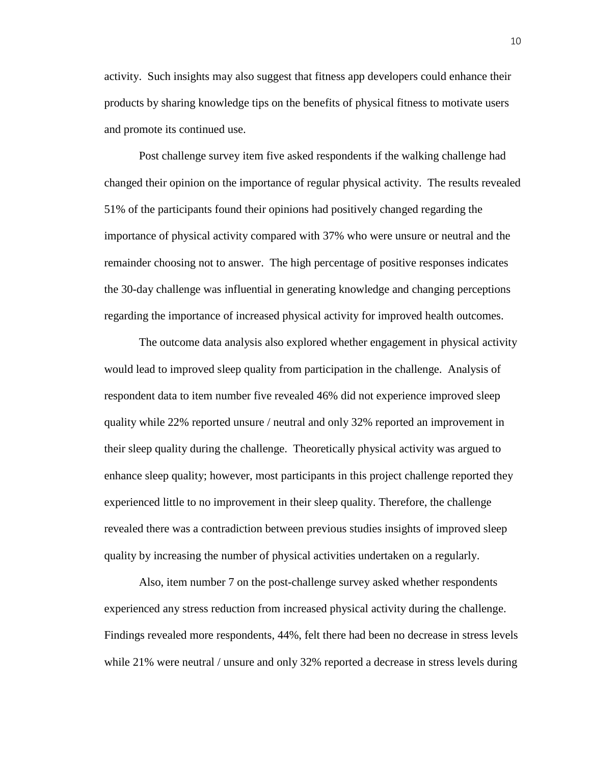activity. Such insights may also suggest that fitness app developers could enhance their products by sharing knowledge tips on the benefits of physical fitness to motivate users and promote its continued use.

Post challenge survey item five asked respondents if the walking challenge had changed their opinion on the importance of regular physical activity. The results revealed 51% of the participants found their opinions had positively changed regarding the importance of physical activity compared with 37% who were unsure or neutral and the remainder choosing not to answer. The high percentage of positive responses indicates the 30-day challenge was influential in generating knowledge and changing perceptions regarding the importance of increased physical activity for improved health outcomes.

The outcome data analysis also explored whether engagement in physical activity would lead to improved sleep quality from participation in the challenge. Analysis of respondent data to item number five revealed 46% did not experience improved sleep quality while 22% reported unsure / neutral and only 32% reported an improvement in their sleep quality during the challenge. Theoretically physical activity was argued to enhance sleep quality; however, most participants in this project challenge reported they experienced little to no improvement in their sleep quality. Therefore, the challenge revealed there was a contradiction between previous studies insights of improved sleep quality by increasing the number of physical activities undertaken on a regularly.

Also, item number 7 on the post-challenge survey asked whether respondents experienced any stress reduction from increased physical activity during the challenge. Findings revealed more respondents, 44%, felt there had been no decrease in stress levels while 21% were neutral / unsure and only 32% reported a decrease in stress levels during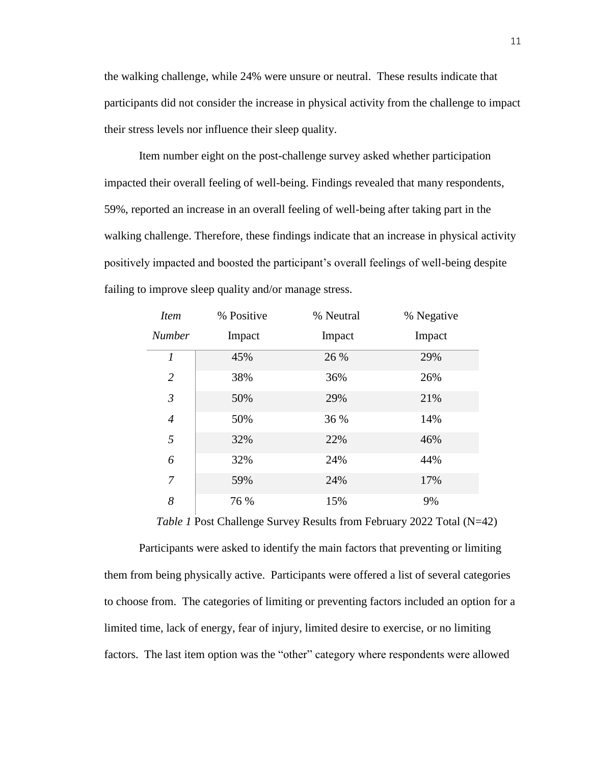the walking challenge, while 24% were unsure or neutral. These results indicate that participants did not consider the increase in physical activity from the challenge to impact their stress levels nor influence their sleep quality.

Item number eight on the post-challenge survey asked whether participation impacted their overall feeling of well-being. Findings revealed that many respondents, 59%, reported an increase in an overall feeling of well-being after taking part in the walking challenge. Therefore, these findings indicate that an increase in physical activity positively impacted and boosted the participant's overall feelings of well-being despite failing to improve sleep quality and/or manage stress.

| <i>Item</i>      | % Positive | % Neutral | % Negative |
|------------------|------------|-----------|------------|
| <b>Number</b>    | Impact     | Impact    | Impact     |
| $\boldsymbol{l}$ | 45%        | 26 %      | 29%        |
| $\overline{2}$   | 38%        | 36%       | 26%        |
| $\mathfrak{Z}$   | 50%        | 29%       | 21%        |
| $\overline{4}$   | 50%        | 36 %      | 14%        |
| 5                | 32%        | 22%       | 46%        |
| 6                | 32%        | 24%       | 44%        |
| $\overline{7}$   | 59%        | 24%       | 17%        |
| 8                | 76 %       | 15%       | 9%         |

*Table 1* Post Challenge Survey Results from February 2022 Total (N=42)

Participants were asked to identify the main factors that preventing or limiting them from being physically active. Participants were offered a list of several categories to choose from. The categories of limiting or preventing factors included an option for a limited time, lack of energy, fear of injury, limited desire to exercise, or no limiting factors. The last item option was the "other" category where respondents were allowed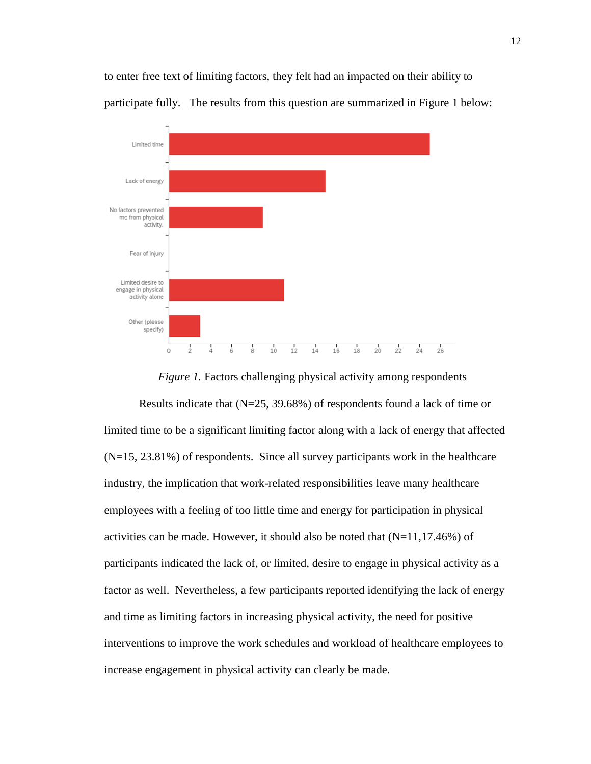

to enter free text of limiting factors, they felt had an impacted on their ability to participate fully. The results from this question are summarized in Figure 1 below:

# *Figure 1.* Factors challenging physical activity among respondents Results indicate that (N=25, 39.68%) of respondents found a lack of time or limited time to be a significant limiting factor along with a lack of energy that affected

(N=15, 23.81%) of respondents. Since all survey participants work in the healthcare industry, the implication that work-related responsibilities leave many healthcare employees with a feeling of too little time and energy for participation in physical activities can be made. However, it should also be noted that  $(N=11,17.46%)$  of participants indicated the lack of, or limited, desire to engage in physical activity as a factor as well. Nevertheless, a few participants reported identifying the lack of energy and time as limiting factors in increasing physical activity, the need for positive interventions to improve the work schedules and workload of healthcare employees to increase engagement in physical activity can clearly be made.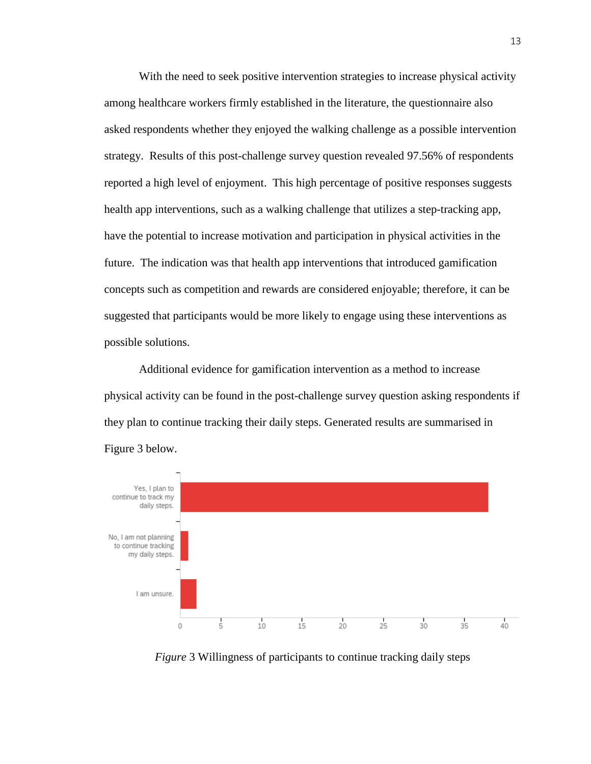With the need to seek positive intervention strategies to increase physical activity among healthcare workers firmly established in the literature, the questionnaire also asked respondents whether they enjoyed the walking challenge as a possible intervention strategy. Results of this post-challenge survey question revealed 97.56% of respondents reported a high level of enjoyment. This high percentage of positive responses suggests health app interventions, such as a walking challenge that utilizes a step-tracking app, have the potential to increase motivation and participation in physical activities in the future. The indication was that health app interventions that introduced gamification concepts such as competition and rewards are considered enjoyable; therefore, it can be suggested that participants would be more likely to engage using these interventions as possible solutions.

Additional evidence for gamification intervention as a method to increase physical activity can be found in the post-challenge survey question asking respondents if they plan to continue tracking their daily steps. Generated results are summarised in Figure 3 below.



*Figure* 3 Willingness of participants to continue tracking daily steps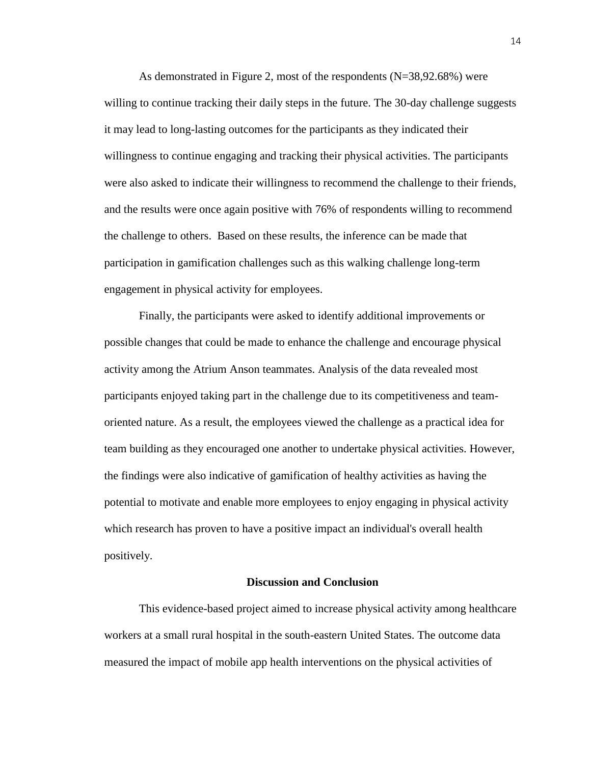As demonstrated in Figure 2, most of the respondents  $(N=38,92.68%)$  were willing to continue tracking their daily steps in the future. The 30-day challenge suggests it may lead to long-lasting outcomes for the participants as they indicated their willingness to continue engaging and tracking their physical activities. The participants were also asked to indicate their willingness to recommend the challenge to their friends, and the results were once again positive with 76% of respondents willing to recommend the challenge to others. Based on these results, the inference can be made that participation in gamification challenges such as this walking challenge long-term engagement in physical activity for employees.

Finally, the participants were asked to identify additional improvements or possible changes that could be made to enhance the challenge and encourage physical activity among the Atrium Anson teammates. Analysis of the data revealed most participants enjoyed taking part in the challenge due to its competitiveness and teamoriented nature. As a result, the employees viewed the challenge as a practical idea for team building as they encouraged one another to undertake physical activities. However, the findings were also indicative of gamification of healthy activities as having the potential to motivate and enable more employees to enjoy engaging in physical activity which research has proven to have a positive impact an individual's overall health positively.

#### **Discussion and Conclusion**

This evidence-based project aimed to increase physical activity among healthcare workers at a small rural hospital in the south-eastern United States. The outcome data measured the impact of mobile app health interventions on the physical activities of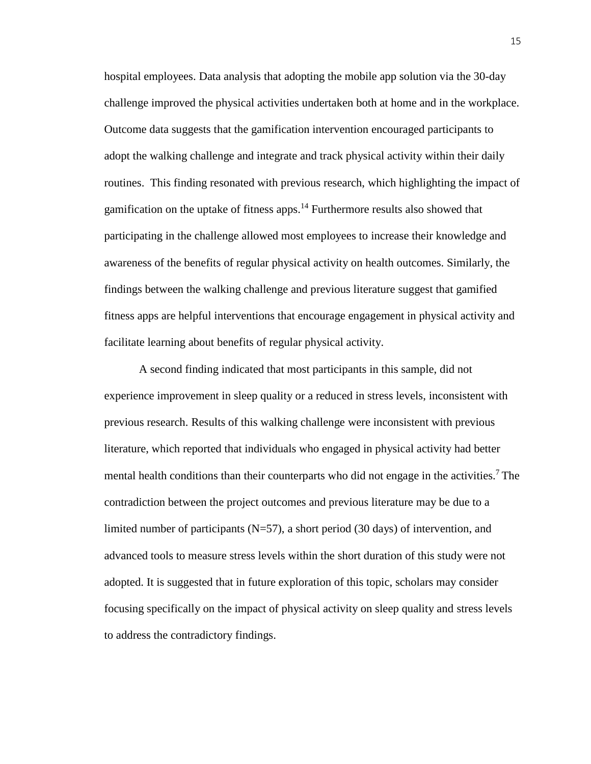hospital employees. Data analysis that adopting the mobile app solution via the 30-day challenge improved the physical activities undertaken both at home and in the workplace. Outcome data suggests that the gamification intervention encouraged participants to adopt the walking challenge and integrate and track physical activity within their daily routines. This finding resonated with previous research, which highlighting the impact of gamification on the uptake of fitness apps.<sup>14</sup> Furthermore results also showed that participating in the challenge allowed most employees to increase their knowledge and awareness of the benefits of regular physical activity on health outcomes. Similarly, the findings between the walking challenge and previous literature suggest that gamified fitness apps are helpful interventions that encourage engagement in physical activity and facilitate learning about benefits of regular physical activity.

A second finding indicated that most participants in this sample, did not experience improvement in sleep quality or a reduced in stress levels, inconsistent with previous research. Results of this walking challenge were inconsistent with previous literature, which reported that individuals who engaged in physical activity had better mental health conditions than their counterparts who did not engage in the activities.<sup>7</sup> The contradiction between the project outcomes and previous literature may be due to a limited number of participants  $(N=57)$ , a short period (30 days) of intervention, and advanced tools to measure stress levels within the short duration of this study were not adopted. It is suggested that in future exploration of this topic, scholars may consider focusing specifically on the impact of physical activity on sleep quality and stress levels to address the contradictory findings.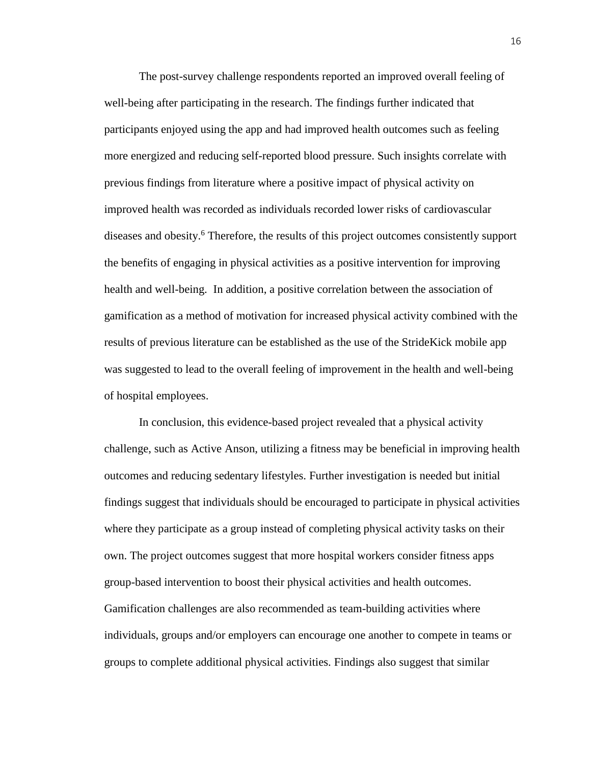The post-survey challenge respondents reported an improved overall feeling of well-being after participating in the research. The findings further indicated that participants enjoyed using the app and had improved health outcomes such as feeling more energized and reducing self-reported blood pressure. Such insights correlate with previous findings from literature where a positive impact of physical activity on improved health was recorded as individuals recorded lower risks of cardiovascular diseases and obesity.<sup>6</sup> Therefore, the results of this project outcomes consistently support the benefits of engaging in physical activities as a positive intervention for improving health and well-being. In addition, a positive correlation between the association of gamification as a method of motivation for increased physical activity combined with the results of previous literature can be established as the use of the StrideKick mobile app was suggested to lead to the overall feeling of improvement in the health and well-being of hospital employees.

In conclusion, this evidence-based project revealed that a physical activity challenge, such as Active Anson, utilizing a fitness may be beneficial in improving health outcomes and reducing sedentary lifestyles. Further investigation is needed but initial findings suggest that individuals should be encouraged to participate in physical activities where they participate as a group instead of completing physical activity tasks on their own. The project outcomes suggest that more hospital workers consider fitness apps group-based intervention to boost their physical activities and health outcomes. Gamification challenges are also recommended as team-building activities where individuals, groups and/or employers can encourage one another to compete in teams or groups to complete additional physical activities. Findings also suggest that similar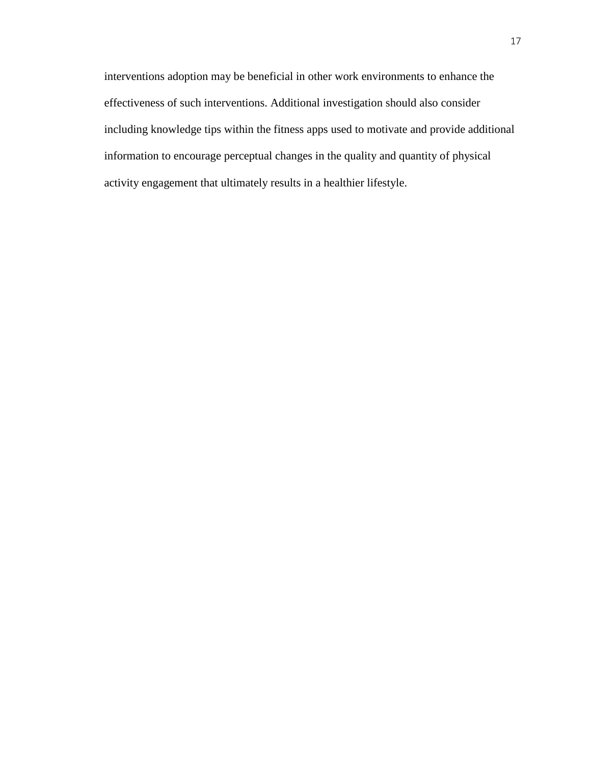interventions adoption may be beneficial in other work environments to enhance the effectiveness of such interventions. Additional investigation should also consider including knowledge tips within the fitness apps used to motivate and provide additional information to encourage perceptual changes in the quality and quantity of physical activity engagement that ultimately results in a healthier lifestyle.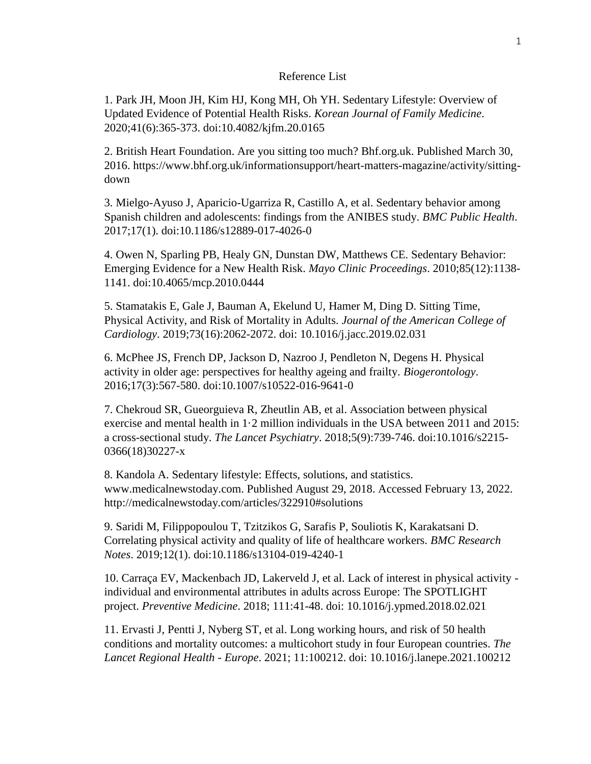#### Reference List

1. Park JH, Moon JH, Kim HJ, Kong MH, Oh YH. Sedentary Lifestyle: Overview of Updated Evidence of Potential Health Risks. *Korean Journal of Family Medicine*. 2020;41(6):365-373. doi:10.4082/kjfm.20.0165

2. British Heart Foundation. Are you sitting too much? Bhf.org.uk. Published March 30, 2016. https://www.bhf.org.uk/informationsupport/heart-matters-magazine/activity/sittingdown

3. Mielgo-Ayuso J, Aparicio-Ugarriza R, Castillo A, et al. Sedentary behavior among Spanish children and adolescents: findings from the ANIBES study. *BMC Public Health*. 2017;17(1). doi:10.1186/s12889-017-4026-0

4. Owen N, Sparling PB, Healy GN, Dunstan DW, Matthews CE. Sedentary Behavior: Emerging Evidence for a New Health Risk. *Mayo Clinic Proceedings*. 2010;85(12):1138- 1141. doi:10.4065/mcp.2010.0444

5. Stamatakis E, Gale J, Bauman A, Ekelund U, Hamer M, Ding D. Sitting Time, Physical Activity, and Risk of Mortality in Adults. *Journal of the American College of Cardiology*. 2019;73(16):2062-2072. doi: 10.1016/j.jacc.2019.02.031

6. McPhee JS, French DP, Jackson D, Nazroo J, Pendleton N, Degens H. Physical activity in older age: perspectives for healthy ageing and frailty. *Biogerontology*. 2016;17(3):567-580. doi:10.1007/s10522-016-9641-0

7. Chekroud SR, Gueorguieva R, Zheutlin AB, et al. Association between physical exercise and mental health in 1·2 million individuals in the USA between 2011 and 2015: a cross-sectional study. *The Lancet Psychiatry*. 2018;5(9):739-746. doi:10.1016/s2215- 0366(18)30227-x

8. Kandola A. Sedentary lifestyle: Effects, solutions, and statistics. www.medicalnewstoday.com. Published August 29, 2018. Accessed February 13, 2022. http://medicalnewstoday.com/articles/322910#solutions

9. Saridi M, Filippopoulou T, Tzitzikos G, Sarafis P, Souliotis K, Karakatsani D. Correlating physical activity and quality of life of healthcare workers. *BMC Research Notes*. 2019;12(1). doi:10.1186/s13104-019-4240-1

10. Carraça EV, Mackenbach JD, Lakerveld J, et al. Lack of interest in physical activity individual and environmental attributes in adults across Europe: The SPOTLIGHT project. *Preventive Medicine*. 2018; 111:41-48. doi: 10.1016/j.ypmed.2018.02.021

11. Ervasti J, Pentti J, Nyberg ST, et al. Long working hours, and risk of 50 health conditions and mortality outcomes: a multicohort study in four European countries. *The Lancet Regional Health - Europe*. 2021; 11:100212. doi: 10.1016/j.lanepe.2021.100212